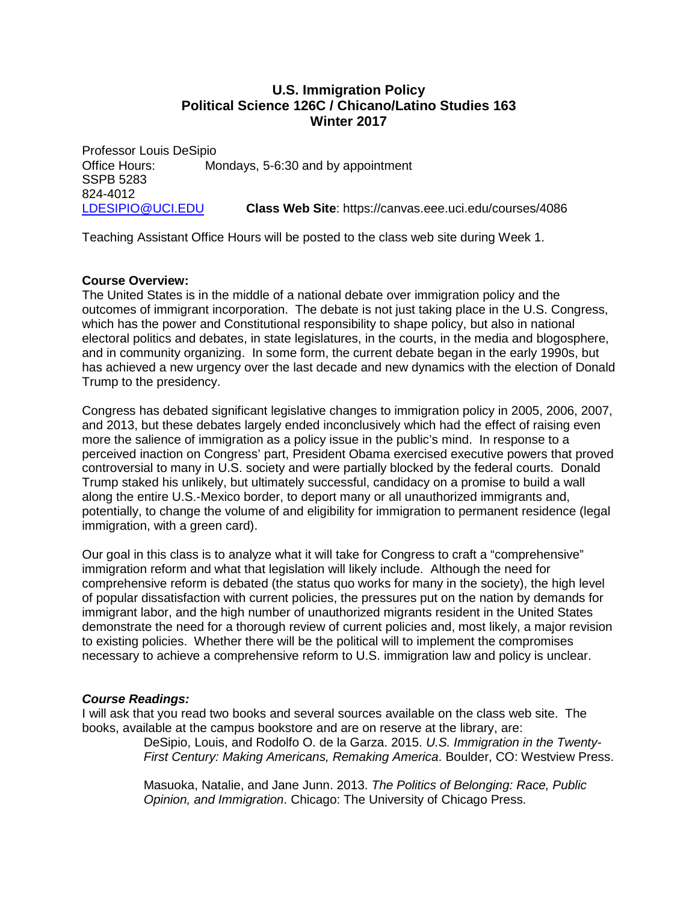## **U.S. Immigration Policy Political Science 126C / Chicano/Latino Studies 163 Winter 2017**

Professor Louis DeSipio Office Hours: Mondays, 5-6:30 and by appointment SSPB 5283 824-4012 [LDESIPIO@UCI.EDU](mailto:LDESIPIO@UCI.EDU) **Class Web Site**: https://canvas.eee.uci.edu/courses/4086

Teaching Assistant Office Hours will be posted to the class web site during Week 1.

## **Course Overview:**

The United States is in the middle of a national debate over immigration policy and the outcomes of immigrant incorporation. The debate is not just taking place in the U.S. Congress, which has the power and Constitutional responsibility to shape policy, but also in national electoral politics and debates, in state legislatures, in the courts, in the media and blogosphere, and in community organizing. In some form, the current debate began in the early 1990s, but has achieved a new urgency over the last decade and new dynamics with the election of Donald Trump to the presidency.

Congress has debated significant legislative changes to immigration policy in 2005, 2006, 2007, and 2013, but these debates largely ended inconclusively which had the effect of raising even more the salience of immigration as a policy issue in the public's mind. In response to a perceived inaction on Congress' part, President Obama exercised executive powers that proved controversial to many in U.S. society and were partially blocked by the federal courts. Donald Trump staked his unlikely, but ultimately successful, candidacy on a promise to build a wall along the entire U.S.-Mexico border, to deport many or all unauthorized immigrants and, potentially, to change the volume of and eligibility for immigration to permanent residence (legal immigration, with a green card).

Our goal in this class is to analyze what it will take for Congress to craft a "comprehensive" immigration reform and what that legislation will likely include. Although the need for comprehensive reform is debated (the status quo works for many in the society), the high level of popular dissatisfaction with current policies, the pressures put on the nation by demands for immigrant labor, and the high number of unauthorized migrants resident in the United States demonstrate the need for a thorough review of current policies and, most likely, a major revision to existing policies. Whether there will be the political will to implement the compromises necessary to achieve a comprehensive reform to U.S. immigration law and policy is unclear.

### *Course Readings:*

I will ask that you read two books and several sources available on the class web site. The books, available at the campus bookstore and are on reserve at the library, are:

> DeSipio, Louis, and Rodolfo O. de la Garza. 2015. *U.S. Immigration in the Twenty-First Century: Making Americans, Remaking America*. Boulder, CO: Westview Press.

Masuoka, Natalie, and Jane Junn. 2013. *The Politics of Belonging: Race, Public Opinion, and Immigration*. Chicago: The University of Chicago Press.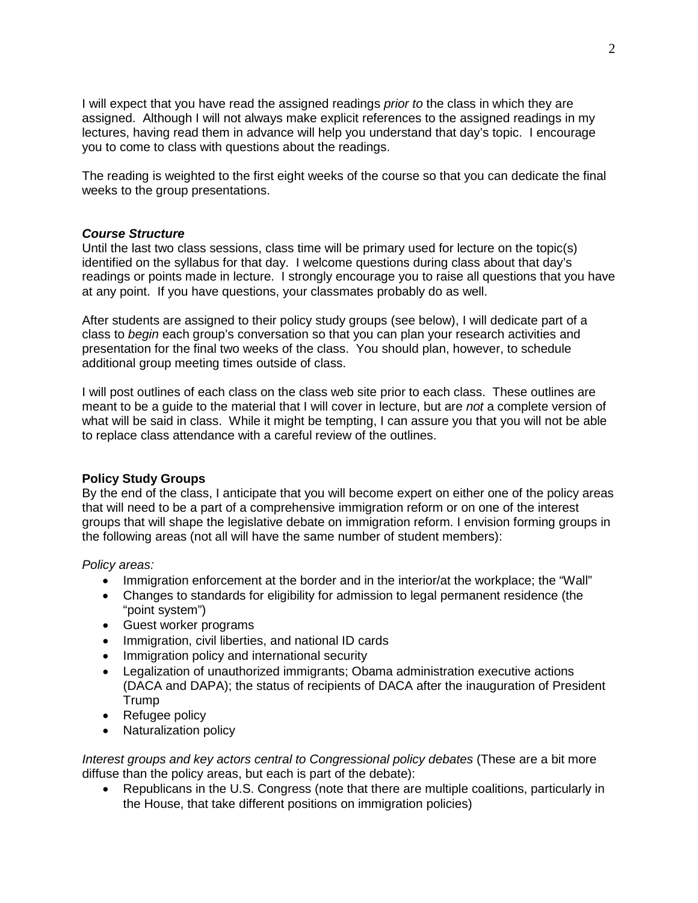I will expect that you have read the assigned readings *prior to* the class in which they are assigned. Although I will not always make explicit references to the assigned readings in my lectures, having read them in advance will help you understand that day's topic. I encourage you to come to class with questions about the readings.

The reading is weighted to the first eight weeks of the course so that you can dedicate the final weeks to the group presentations.

#### *Course Structure*

Until the last two class sessions, class time will be primary used for lecture on the topic(s) identified on the syllabus for that day. I welcome questions during class about that day's readings or points made in lecture. I strongly encourage you to raise all questions that you have at any point. If you have questions, your classmates probably do as well.

After students are assigned to their policy study groups (see below), I will dedicate part of a class to *begin* each group's conversation so that you can plan your research activities and presentation for the final two weeks of the class. You should plan, however, to schedule additional group meeting times outside of class.

I will post outlines of each class on the class web site prior to each class. These outlines are meant to be a guide to the material that I will cover in lecture, but are *not* a complete version of what will be said in class. While it might be tempting, I can assure you that you will not be able to replace class attendance with a careful review of the outlines.

### **Policy Study Groups**

By the end of the class, I anticipate that you will become expert on either one of the policy areas that will need to be a part of a comprehensive immigration reform or on one of the interest groups that will shape the legislative debate on immigration reform. I envision forming groups in the following areas (not all will have the same number of student members):

#### *Policy areas:*

- Immigration enforcement at the border and in the interior/at the workplace; the "Wall"
- Changes to standards for eligibility for admission to legal permanent residence (the "point system")
- Guest worker programs
- Immigration, civil liberties, and national ID cards
- Immigration policy and international security
- Legalization of unauthorized immigrants; Obama administration executive actions (DACA and DAPA); the status of recipients of DACA after the inauguration of President Trump
- Refugee policy
- Naturalization policy

*Interest groups and key actors central to Congressional policy debates* (These are a bit more diffuse than the policy areas, but each is part of the debate):

• Republicans in the U.S. Congress (note that there are multiple coalitions, particularly in the House, that take different positions on immigration policies)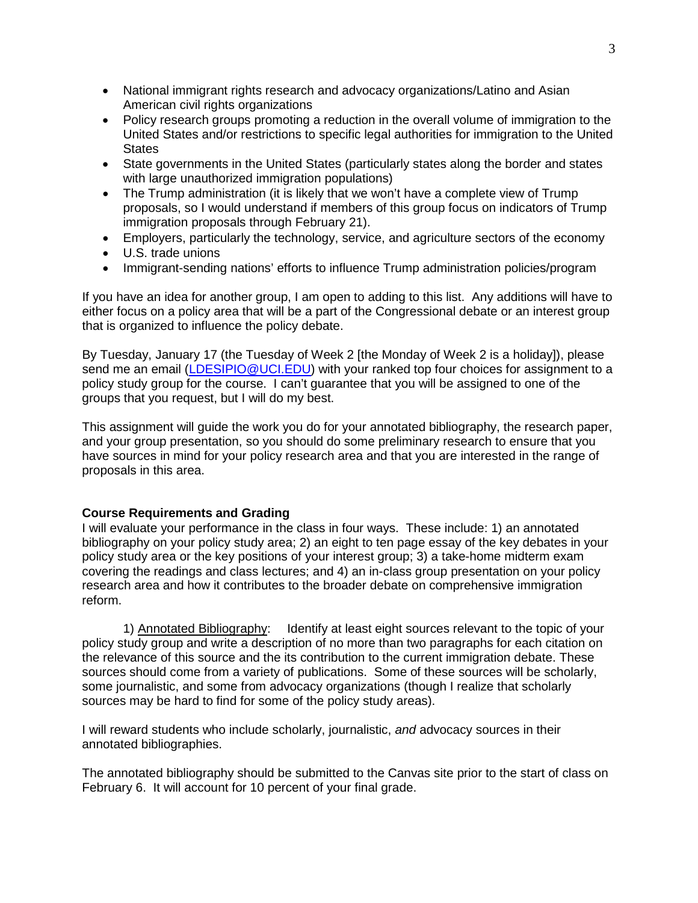- National immigrant rights research and advocacy organizations/Latino and Asian American civil rights organizations
- Policy research groups promoting a reduction in the overall volume of immigration to the United States and/or restrictions to specific legal authorities for immigration to the United **States**
- State governments in the United States (particularly states along the border and states with large unauthorized immigration populations)
- The Trump administration (it is likely that we won't have a complete view of Trump proposals, so I would understand if members of this group focus on indicators of Trump immigration proposals through February 21).
- Employers, particularly the technology, service, and agriculture sectors of the economy
- U.S. trade unions
- Immigrant-sending nations' efforts to influence Trump administration policies/program

If you have an idea for another group, I am open to adding to this list. Any additions will have to either focus on a policy area that will be a part of the Congressional debate or an interest group that is organized to influence the policy debate.

By Tuesday, January 17 (the Tuesday of Week 2 [the Monday of Week 2 is a holiday]), please send me an email [\(LDESIPIO@UCI.EDU\)](mailto:LDESIPIO@UCI.EDU) with your ranked top four choices for assignment to a policy study group for the course. I can't guarantee that you will be assigned to one of the groups that you request, but I will do my best.

This assignment will guide the work you do for your annotated bibliography, the research paper, and your group presentation, so you should do some preliminary research to ensure that you have sources in mind for your policy research area and that you are interested in the range of proposals in this area.

## **Course Requirements and Grading**

I will evaluate your performance in the class in four ways. These include: 1) an annotated bibliography on your policy study area; 2) an eight to ten page essay of the key debates in your policy study area or the key positions of your interest group; 3) a take-home midterm exam covering the readings and class lectures; and 4) an in-class group presentation on your policy research area and how it contributes to the broader debate on comprehensive immigration reform.

1) Annotated Bibliography: Identify at least eight sources relevant to the topic of your policy study group and write a description of no more than two paragraphs for each citation on the relevance of this source and the its contribution to the current immigration debate. These sources should come from a variety of publications. Some of these sources will be scholarly, some journalistic, and some from advocacy organizations (though I realize that scholarly sources may be hard to find for some of the policy study areas).

I will reward students who include scholarly, journalistic, *and* advocacy sources in their annotated bibliographies.

The annotated bibliography should be submitted to the Canvas site prior to the start of class on February 6. It will account for 10 percent of your final grade.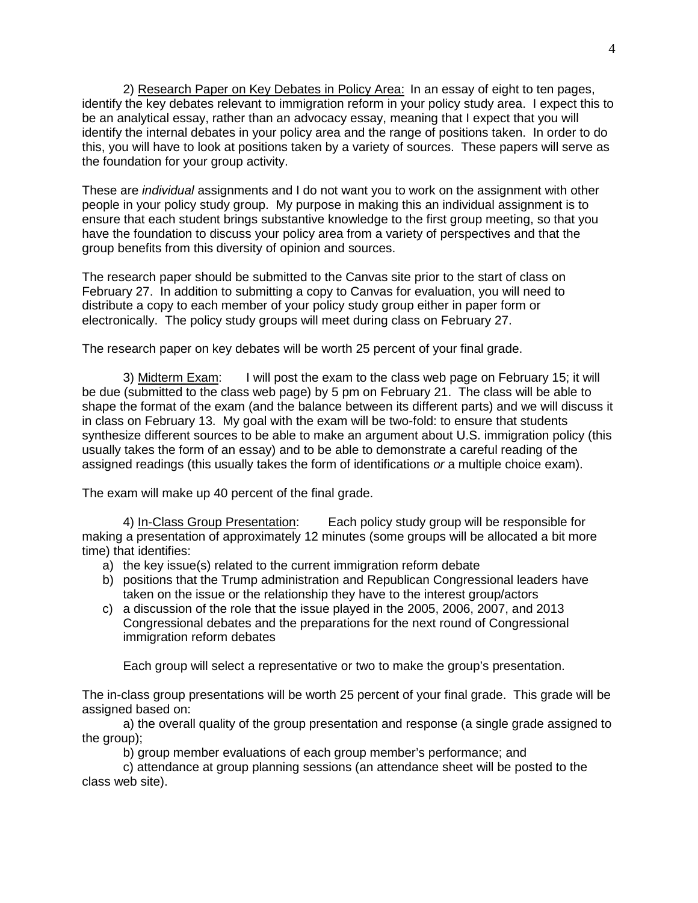2) Research Paper on Key Debates in Policy Area: In an essay of eight to ten pages, identify the key debates relevant to immigration reform in your policy study area. I expect this to be an analytical essay, rather than an advocacy essay, meaning that I expect that you will identify the internal debates in your policy area and the range of positions taken. In order to do this, you will have to look at positions taken by a variety of sources. These papers will serve as the foundation for your group activity.

These are *individual* assignments and I do not want you to work on the assignment with other people in your policy study group. My purpose in making this an individual assignment is to ensure that each student brings substantive knowledge to the first group meeting, so that you have the foundation to discuss your policy area from a variety of perspectives and that the group benefits from this diversity of opinion and sources.

The research paper should be submitted to the Canvas site prior to the start of class on February 27. In addition to submitting a copy to Canvas for evaluation, you will need to distribute a copy to each member of your policy study group either in paper form or electronically. The policy study groups will meet during class on February 27.

The research paper on key debates will be worth 25 percent of your final grade.

3) Midterm Exam: I will post the exam to the class web page on February 15; it will be due (submitted to the class web page) by 5 pm on February 21. The class will be able to shape the format of the exam (and the balance between its different parts) and we will discuss it in class on February 13. My goal with the exam will be two-fold: to ensure that students synthesize different sources to be able to make an argument about U.S. immigration policy (this usually takes the form of an essay) and to be able to demonstrate a careful reading of the assigned readings (this usually takes the form of identifications *or* a multiple choice exam).

The exam will make up 40 percent of the final grade.

4) In-Class Group Presentation: Each policy study group will be responsible for making a presentation of approximately 12 minutes (some groups will be allocated a bit more time) that identifies:

- a) the key issue(s) related to the current immigration reform debate
- b) positions that the Trump administration and Republican Congressional leaders have taken on the issue or the relationship they have to the interest group/actors
- c) a discussion of the role that the issue played in the 2005, 2006, 2007, and 2013 Congressional debates and the preparations for the next round of Congressional immigration reform debates

Each group will select a representative or two to make the group's presentation.

The in-class group presentations will be worth 25 percent of your final grade. This grade will be assigned based on:

a) the overall quality of the group presentation and response (a single grade assigned to the group);

b) group member evaluations of each group member's performance; and

c) attendance at group planning sessions (an attendance sheet will be posted to the class web site).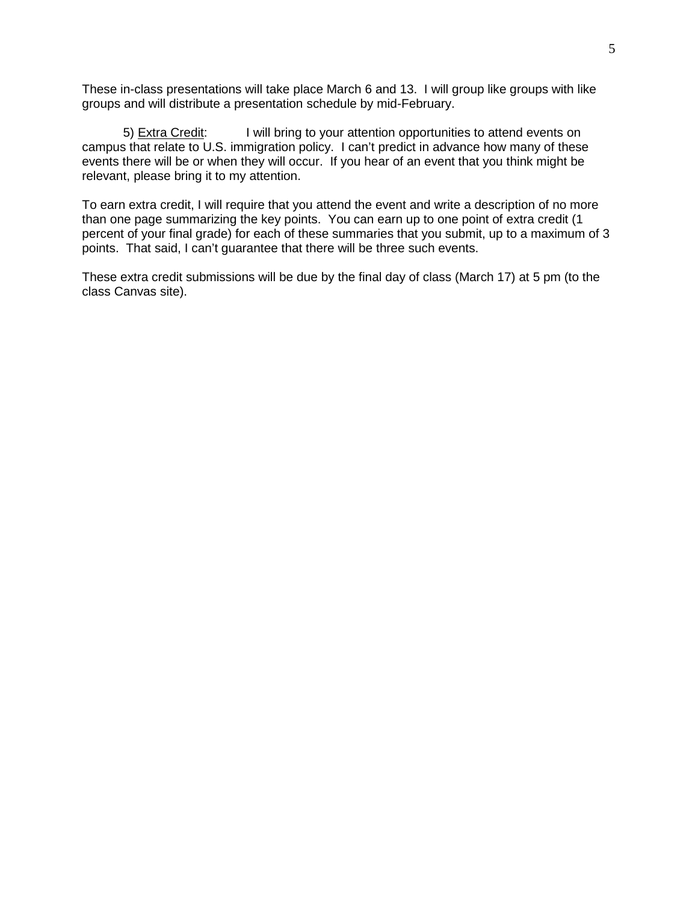These in-class presentations will take place March 6 and 13. I will group like groups with like groups and will distribute a presentation schedule by mid-February.

5) Extra Credit: I will bring to your attention opportunities to attend events on campus that relate to U.S. immigration policy. I can't predict in advance how many of these events there will be or when they will occur. If you hear of an event that you think might be relevant, please bring it to my attention.

To earn extra credit, I will require that you attend the event and write a description of no more than one page summarizing the key points. You can earn up to one point of extra credit (1 percent of your final grade) for each of these summaries that you submit, up to a maximum of 3 points. That said, I can't guarantee that there will be three such events.

These extra credit submissions will be due by the final day of class (March 17) at 5 pm (to the class Canvas site).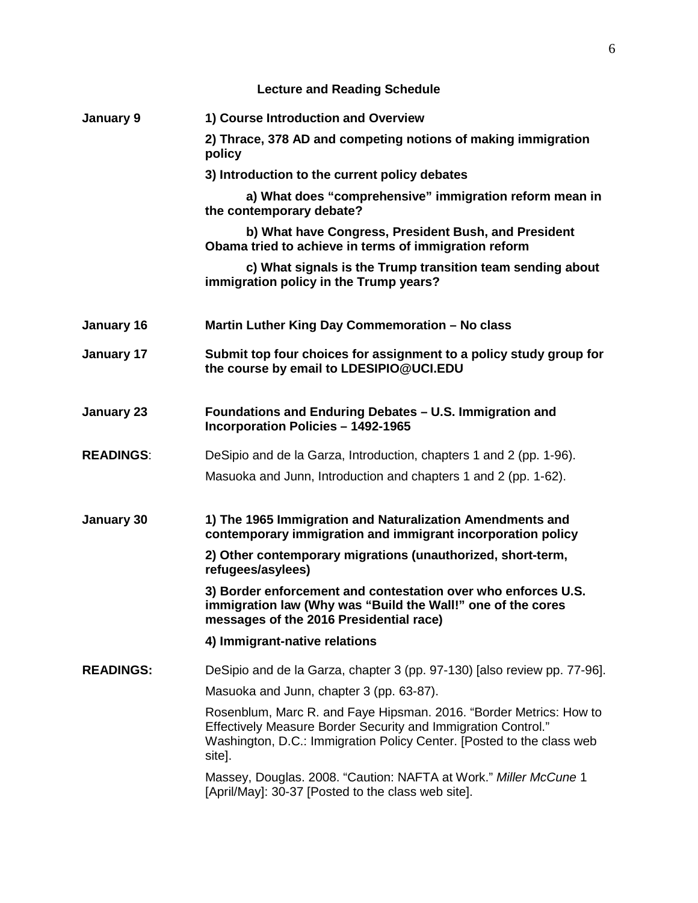|                   | <b>Lecture and Reading Schedule</b>                                                                                                                                                                                    |
|-------------------|------------------------------------------------------------------------------------------------------------------------------------------------------------------------------------------------------------------------|
| January 9         | 1) Course Introduction and Overview                                                                                                                                                                                    |
|                   | 2) Thrace, 378 AD and competing notions of making immigration<br>policy                                                                                                                                                |
|                   | 3) Introduction to the current policy debates                                                                                                                                                                          |
|                   | a) What does "comprehensive" immigration reform mean in<br>the contemporary debate?                                                                                                                                    |
|                   | b) What have Congress, President Bush, and President<br>Obama tried to achieve in terms of immigration reform                                                                                                          |
|                   | c) What signals is the Trump transition team sending about<br>immigration policy in the Trump years?                                                                                                                   |
| January 16        | Martin Luther King Day Commemoration - No class                                                                                                                                                                        |
| January 17        | Submit top four choices for assignment to a policy study group for<br>the course by email to LDESIPIO@UCI.EDU                                                                                                          |
| <b>January 23</b> | Foundations and Enduring Debates - U.S. Immigration and<br><b>Incorporation Policies - 1492-1965</b>                                                                                                                   |
| <b>READINGS:</b>  | DeSipio and de la Garza, Introduction, chapters 1 and 2 (pp. 1-96).                                                                                                                                                    |
|                   | Masuoka and Junn, Introduction and chapters 1 and 2 (pp. 1-62).                                                                                                                                                        |
| January 30        | 1) The 1965 Immigration and Naturalization Amendments and<br>contemporary immigration and immigrant incorporation policy                                                                                               |
|                   | 2) Other contemporary migrations (unauthorized, short-term,<br>refugees/asylees)                                                                                                                                       |
|                   | 3) Border enforcement and contestation over who enforces U.S.<br>immigration law (Why was "Build the Wall!" one of the cores<br>messages of the 2016 Presidential race)                                                |
|                   | 4) Immigrant-native relations                                                                                                                                                                                          |
| <b>READINGS:</b>  | DeSipio and de la Garza, chapter 3 (pp. 97-130) [also review pp. 77-96].                                                                                                                                               |
|                   | Masuoka and Junn, chapter 3 (pp. 63-87).                                                                                                                                                                               |
|                   | Rosenblum, Marc R. and Faye Hipsman. 2016. "Border Metrics: How to<br>Effectively Measure Border Security and Immigration Control."<br>Washington, D.C.: Immigration Policy Center. [Posted to the class web<br>site]. |
|                   | Massey, Douglas. 2008. "Caution: NAFTA at Work." Miller McCune 1<br>[April/May]: 30-37 [Posted to the class web site].                                                                                                 |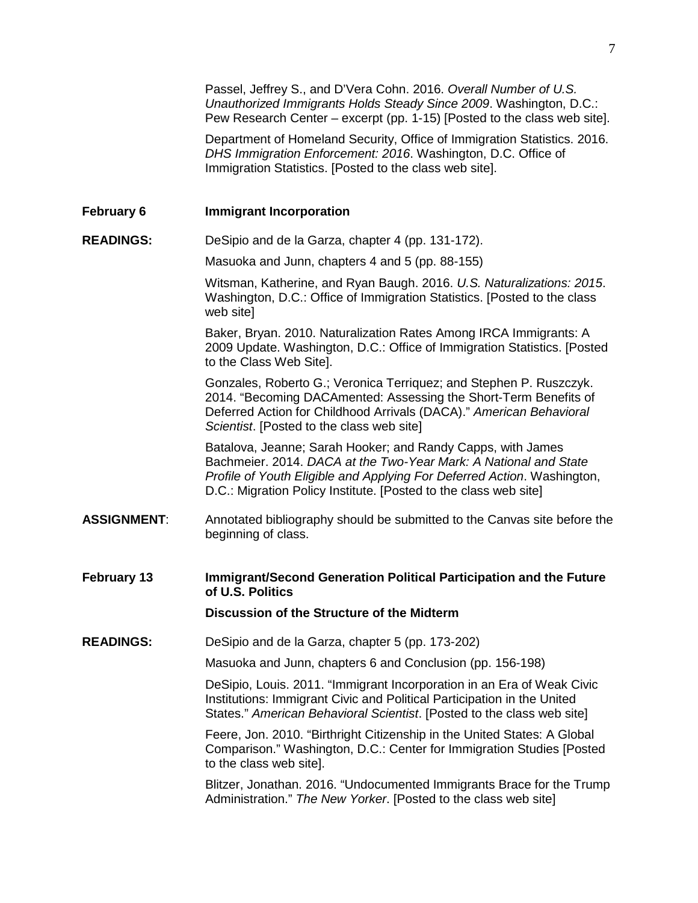Passel, Jeffrey S., and D'Vera Cohn. 2016. *Overall Number of U.S. Unauthorized Immigrants Holds Steady Since 2009*. Washington, D.C.: Pew Research Center – excerpt (pp. 1-15) [Posted to the class web site].

Department of Homeland Security, Office of Immigration Statistics. 2016. *DHS Immigration Enforcement: 2016*. Washington, D.C. Office of Immigration Statistics. [Posted to the class web site].

**February 6 Immigrant Incorporation**

**READINGS:** DeSipio and de la Garza, chapter 4 (pp. 131-172).

Masuoka and Junn, chapters 4 and 5 (pp. 88-155)

Witsman, Katherine, and Ryan Baugh. 2016. *U.S. Naturalizations: 2015*. Washington, D.C.: Office of Immigration Statistics. [Posted to the class web site]

Baker, Bryan. 2010. Naturalization Rates Among IRCA Immigrants: A 2009 Update. Washington, D.C.: Office of Immigration Statistics. [Posted to the Class Web Site].

Gonzales, Roberto G.; Veronica Terriquez; and Stephen P. Ruszczyk. 2014. "Becoming DACAmented: Assessing the Short-Term Benefits of Deferred Action for Childhood Arrivals (DACA)." *American Behavioral Scientist*. [Posted to the class web site]

Batalova, Jeanne; Sarah Hooker; and Randy Capps, with James Bachmeier. 2014. *DACA at the Two-Year Mark: A National and State Profile of Youth Eligible and Applying For Deferred Action*. Washington, D.C.: Migration Policy Institute. [Posted to the class web site]

**ASSIGNMENT**: Annotated bibliography should be submitted to the Canvas site before the beginning of class.

# **February 13 Immigrant/Second Generation Political Participation and the Future of U.S. Politics**

**Discussion of the Structure of the Midterm**

**READINGS:** DeSipio and de la Garza, chapter 5 (pp. 173-202)

Masuoka and Junn, chapters 6 and Conclusion (pp. 156-198)

DeSipio, Louis. 2011. "Immigrant Incorporation in an Era of Weak Civic Institutions: Immigrant Civic and Political Participation in the United States." *American Behavioral Scientist*. [Posted to the class web site]

Feere, Jon. 2010. "Birthright Citizenship in the United States: A Global Comparison." Washington, D.C.: Center for Immigration Studies [Posted to the class web site].

Blitzer, Jonathan. 2016. "Undocumented Immigrants Brace for the Trump Administration." *The New Yorker*. [Posted to the class web site]